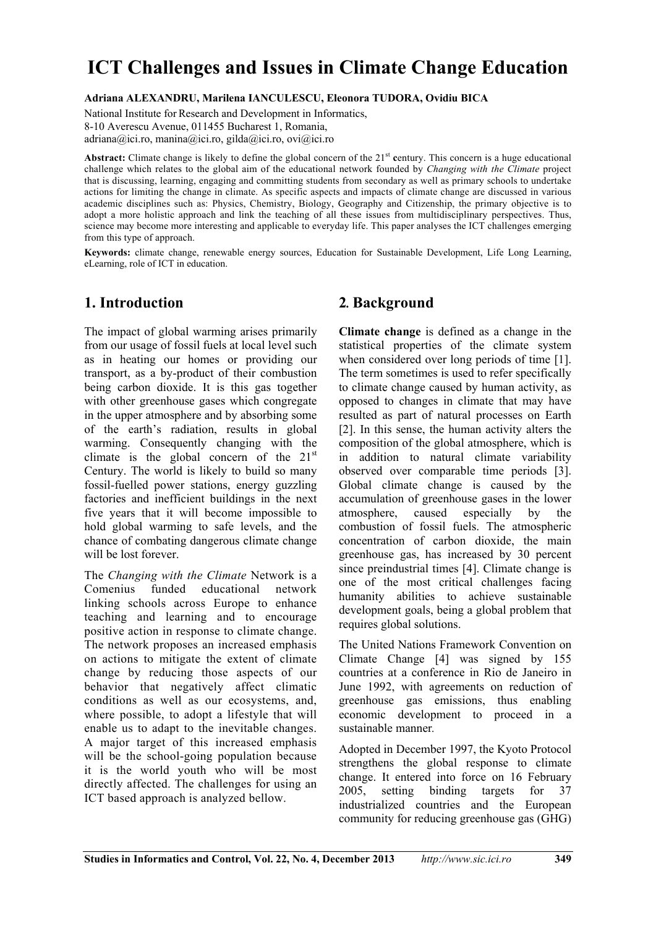# **ICT Challenges and Issues in Climate Change Education**

**Adriana ALEXANDRU, Marilena IANCULESCU, Eleonora TUDORA, Ovidiu BICA** 

National Institute for Research and Development in Informatics,

8-10 Averescu Avenue, 011455 Bucharest 1, Romania,

adriana@ici.ro, manina@ici.ro, gilda@ici.ro, ovi@ici.ro

Abstract: Climate change is likely to define the global concern of the 21<sup>st</sup> century. This concern is a huge educational challenge which relates to the global aim of the educational network founded by *Changing with the Climate* project that is discussing, learning, engaging and committing students from secondary as well as primary schools to undertake actions for limiting the change in climate. As specific aspects and impacts of climate change are discussed in various academic disciplines such as: Physics, Chemistry, Biology, Geography and Citizenship, the primary objective is to adopt a more holistic approach and link the teaching of all these issues from multidisciplinary perspectives. Thus, science may become more interesting and applicable to everyday life. This paper analyses the ICT challenges emerging from this type of approach.

**Keywords:** climate change, renewable energy sources, Education for Sustainable Development, Life Long Learning, eLearning, role of ICT in education.

### **1. Introduction**

The impact of global warming arises primarily from our usage of fossil fuels at local level such as in heating our homes or providing our transport, as a by-product of their combustion being carbon dioxide. It is this gas together with other greenhouse gases which congregate in the upper atmosphere and by absorbing some of the earth's radiation, results in global warming. Consequently changing with the climate is the global concern of the  $21<sup>st</sup>$ Century. The world is likely to build so many fossil-fuelled power stations, energy guzzling factories and inefficient buildings in the next five years that it will become impossible to hold global warming to safe levels, and the chance of combating dangerous climate change will be lost forever.

The *Changing with the Climate* Network is a Comenius funded educational network linking schools across Europe to enhance teaching and learning and to encourage positive action in response to climate change. The network proposes an increased emphasis on actions to mitigate the extent of climate change by reducing those aspects of our behavior that negatively affect climatic conditions as well as our ecosystems, and, where possible, to adopt a lifestyle that will enable us to adapt to the inevitable changes. A major target of this increased emphasis will be the school-going population because it is the world youth who will be most directly affected. The challenges for using an ICT based approach is analyzed bellow.

## **2***.* **Background**

**Climate change** is defined as a change in the statistical properties of the climate system when considered over long periods of time [1]. The term sometimes is used to refer specifically to climate change caused by human activity, as opposed to changes in climate that may have resulted as part of natural processes on Earth [2]. In this sense, the human activity alters the composition of the global atmosphere, which is in addition to natural climate variability observed over comparable time periods [3]. Global climate change is caused by the accumulation of greenhouse gases in the lower atmosphere, caused especially by the combustion of fossil fuels. The atmospheric concentration of carbon dioxide, the main greenhouse gas, has increased by 30 percent since preindustrial times [4]. Climate change is one of the most critical challenges facing humanity abilities to achieve sustainable development goals, being a global problem that requires global solutions.

The United Nations Framework Convention on Climate Change [4] was signed by 155 countries at a conference in Rio de Janeiro in June 1992, with agreements on reduction of greenhouse gas emissions, thus enabling economic development to proceed in a sustainable manner*.*

Adopted in December 1997, the Kyoto Protocol strengthens the global response to climate change. It entered into force on 16 February 2005, setting binding targets for 37 industrialized countries and the European community for reducing greenhouse gas (GHG)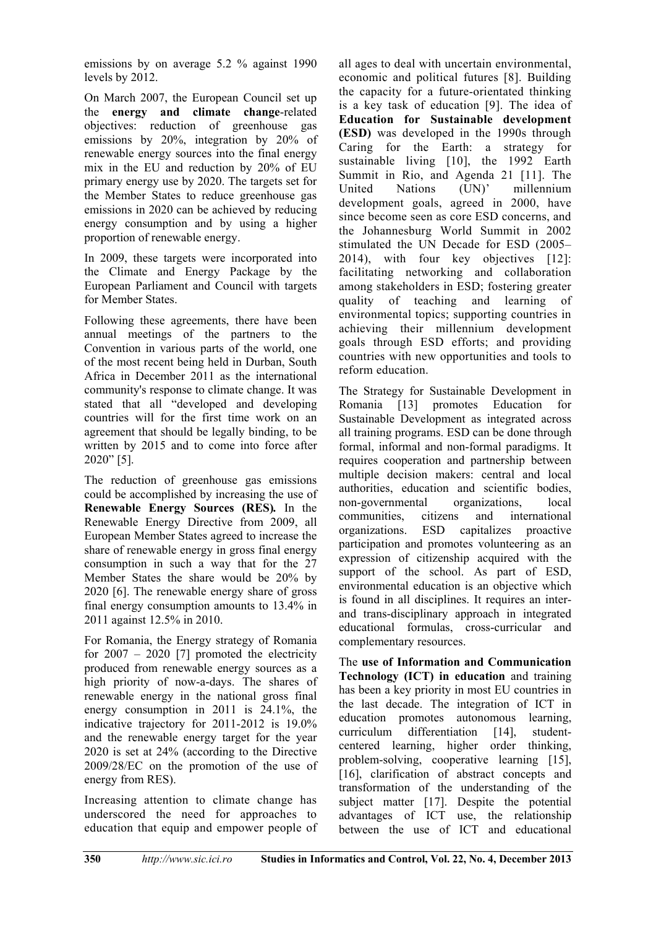emissions by on average 5.2 % against 1990 levels by 2012.

On March 2007, the European Council set up the **energy and climate change**-related objectives: reduction of greenhouse gas emissions by 20%, integration by 20% of renewable energy sources into the final energy mix in the EU and reduction by 20% of EU primary energy use by 2020. The targets set for the Member States to reduce greenhouse gas emissions in 2020 can be achieved by reducing energy consumption and by using a higher proportion of renewable energy.

In 2009, these targets were incorporated into the Climate and Energy Package by the European Parliament and Council with targets for Member States.

Following these agreements, there have been annual meetings of the partners to the Convention in various parts of the world, one of the most recent being held in Durban, South Africa in December 2011 as the international community's response to climate change. It was stated that all "developed and developing countries will for the first time work on an agreement that should be legally binding, to be written by 2015 and to come into force after 2020" [5].

The reduction of greenhouse gas emissions could be accomplished by increasing the use of **Renewable Energy Sources (RES)***.* In the Renewable Energy Directive from 2009, all European Member States agreed to increase the share of renewable energy in gross final energy consumption in such a way that for the 27 Member States the share would be 20% by 2020 [6]. The renewable energy share of gross final energy consumption amounts to 13.4% in 2011 against 12.5% in 2010.

For Romania, the Energy strategy of Romania for  $2007 - 2020$  [7] promoted the electricity produced from renewable energy sources as a high priority of now-a-days. The shares of renewable energy in the national gross final energy consumption in 2011 is 24.1%, the indicative trajectory for 2011-2012 is 19.0% and the renewable energy target for the year 2020 is set at 24% (according to the Directive 2009/28/EC on the promotion of the use of energy from RES).

Increasing attention to climate change has underscored the need for approaches to education that equip and empower people of all ages to deal with uncertain environmental, economic and political futures [8]. Building the capacity for a future-orientated thinking is a key task of education [9]. The idea of **Education for Sustainable development (ESD)** was developed in the 1990s through Caring for the Earth: a strategy for sustainable living [10], the 1992 Earth Summit in Rio, and Agenda 21 [11]. The United Nations (UN)' millennium development goals, agreed in 2000, have since become seen as core ESD concerns, and the Johannesburg World Summit in 2002 stimulated the UN Decade for ESD (2005– 2014), with four key objectives [12]: facilitating networking and collaboration among stakeholders in ESD; fostering greater quality of teaching and learning of environmental topics; supporting countries in achieving their millennium development goals through ESD efforts; and providing countries with new opportunities and tools to reform education.

The Strategy for Sustainable Development in Romania [13] promotes Education for Sustainable Development as integrated across all training programs. ESD can be done through formal, informal and non-formal paradigms. It requires cooperation and partnership between multiple decision makers: central and local authorities, education and scientific bodies, non-governmental organizations, local communities, citizens and international organizations. ESD capitalizes proactive participation and promotes volunteering as an expression of citizenship acquired with the support of the school. As part of ESD, environmental education is an objective which is found in all disciplines. It requires an interand trans-disciplinary approach in integrated educational formulas, cross-curricular and complementary resources.

The **use of Information and Communication Technology (ICT) in education** and training has been a key priority in most EU countries in the last decade. The integration of ICT in education promotes autonomous learning, curriculum differentiation [14], studentcentered learning, higher order thinking, problem-solving, cooperative learning [15], [16], clarification of abstract concepts and transformation of the understanding of the subject matter [17]. Despite the potential advantages of ICT use, the relationship between the use of ICT and educational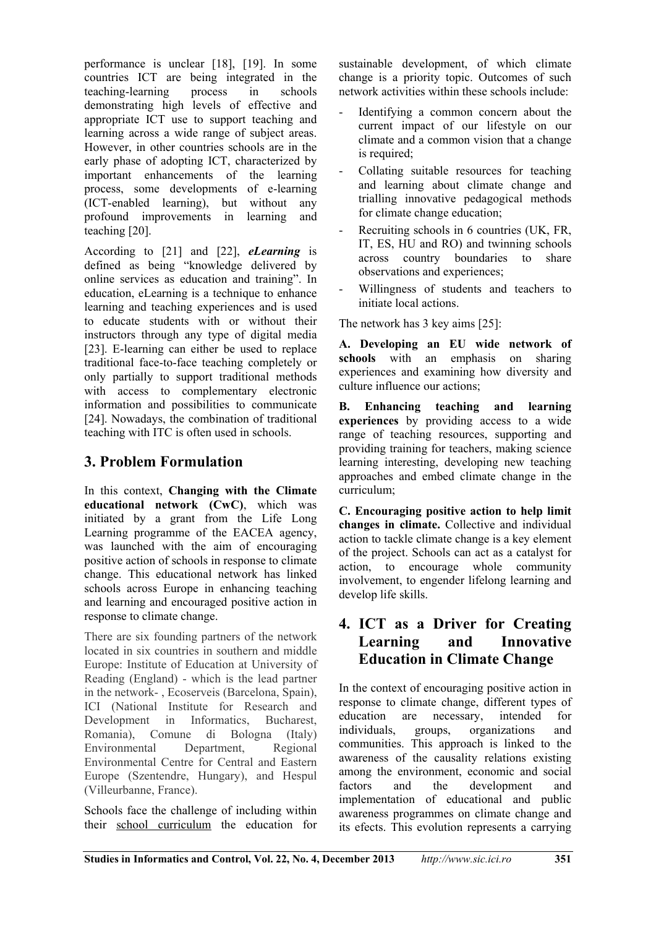performance is unclear [18], [19]. In some countries ICT are being integrated in the teaching-learning process in schools demonstrating high levels of effective and appropriate ICT use to support teaching and learning across a wide range of subject areas. However, in other countries schools are in the early phase of adopting ICT, characterized by important enhancements of the learning process, some developments of e-learning (ICT-enabled learning), but without any profound improvements in learning and teaching [20].

According to [21] and [22], *eLearning* is defined as being "knowledge delivered by online services as education and training". In education, eLearning is a technique to enhance learning and teaching experiences and is used to educate students with or without their instructors through any type of digital media [23]. E-learning can either be used to replace traditional face-to-face teaching completely or only partially to support traditional methods with access to complementary electronic information and possibilities to communicate [24]. Nowadays, the combination of traditional teaching with ITC is often used in schools.

# **3. Problem Formulation**

In this context, **Changing with the Climate educational network (CwC)**, which was initiated by a grant from the Life Long Learning programme of the EACEA agency, was launched with the aim of encouraging positive action of schools in response to climate change. This educational network has linked schools across Europe in enhancing teaching and learning and encouraged positive action in response to climate change.

There are six founding partners of the network located in six countries in southern and middle Europe: Institute of Education at University of Reading (England) - which is the lead partner in the network- , Ecoserveis (Barcelona, Spain), ICI (National Institute for Research and Development in Informatics, Bucharest, Romania), Comune di Bologna (Italy) Environmental Department, Regional Environmental Centre for Central and Eastern Europe (Szentendre, Hungary), and Hespul (Villeurbanne, France).

Schools face the challenge of including within their school curriculum the education for sustainable development, of which climate change is a priority topic. Outcomes of such network activities within these schools include:

- Identifying a common concern about the current impact of our lifestyle on our climate and a common vision that a change is required;
- Collating suitable resources for teaching and learning about climate change and trialling innovative pedagogical methods for climate change education;
- Recruiting schools in 6 countries (UK, FR, IT, ES, HU and RO) and twinning schools across country boundaries to share observations and experiences;
- Willingness of students and teachers to initiate local actions.

The network has 3 key aims [25]:

**A. Developing an EU wide network of schools** with an emphasis on sharing experiences and examining how diversity and culture influence our actions;

**B. Enhancing teaching and learning experiences** by providing access to a wide range of teaching resources, supporting and providing training for teachers, making science learning interesting, developing new teaching approaches and embed climate change in the curriculum;

**C. Encouraging positive action to help limit changes in climate.** Collective and individual action to tackle climate change is a key element of the project. Schools can act as a catalyst for action, to encourage whole community involvement, to engender lifelong learning and develop life skills.

# **4. ICT as a Driver for Creating Learning and Innovative Education in Climate Change**

In the context of encouraging positive action in response to climate change, different types of education are necessary, intended for individuals, groups, organizations and communities. This approach is linked to the awareness of the causality relations existing among the environment, economic and social factors and the development and implementation of educational and public awareness programmes on climate change and its efects. This evolution represents a carrying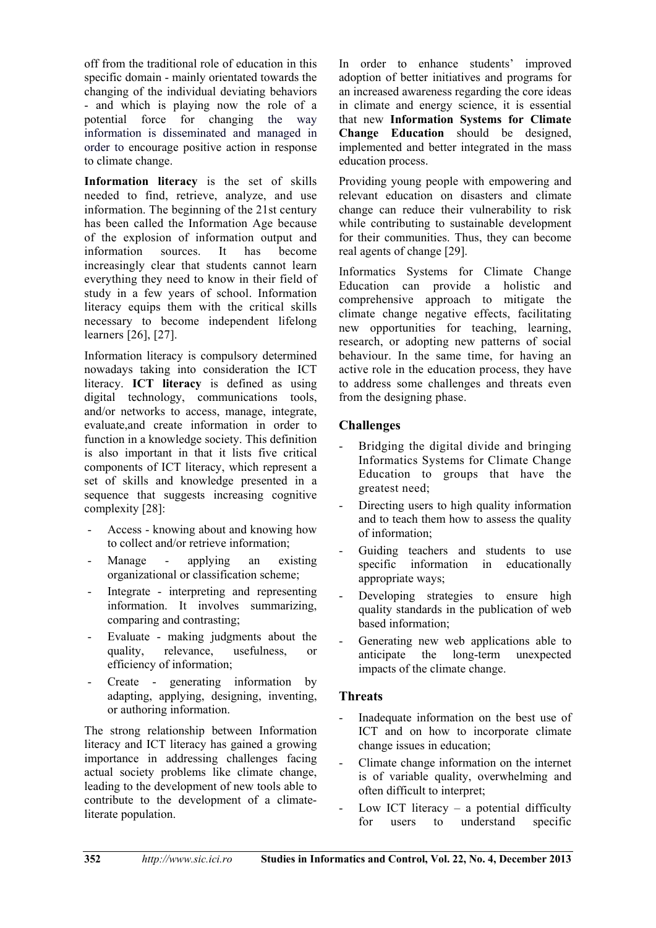off from the traditional role of education in this specific domain - mainly orientated towards the changing of the individual deviating behaviors - and which is playing now the role of a potential force for changing the way information is disseminated and managed in order to encourage positive action in response to climate change.

**Information literacy** is the set of skills needed to find, retrieve, analyze, and use information. The beginning of the 21st century has been called the Information Age because of the explosion of information output and information sources. It has become increasingly clear that students cannot learn everything they need to know in their field of study in a few years of school. Information literacy equips them with the critical skills necessary to become independent lifelong learners [26], [27].

Information literacy is compulsory determined nowadays taking into consideration the ICT literacy. **ICT literacy** is defined as using digital technology, communications tools, and/or networks to access, manage, integrate, evaluate,and create information in order to function in a knowledge society. This definition is also important in that it lists five critical components of ICT literacy, which represent a set of skills and knowledge presented in a sequence that suggests increasing cognitive complexity [28]:

- Access knowing about and knowing how to collect and/or retrieve information;
- Manage applying an existing organizational or classification scheme;
- Integrate interpreting and representing information. It involves summarizing, comparing and contrasting;
- Evaluate making judgments about the quality, relevance, usefulness, or efficiency of information;
- Create generating information by adapting, applying, designing, inventing, or authoring information.

The strong relationship between Information literacy and ICT literacy has gained a growing importance in addressing challenges facing actual society problems like climate change, leading to the development of new tools able to contribute to the development of a climateliterate population.

In order to enhance students' improved adoption of better initiatives and programs for an increased awareness regarding the core ideas in climate and energy science, it is essential that new **Information Systems for Climate Change Education** should be designed, implemented and better integrated in the mass education process.

Providing young people with empowering and relevant education on disasters and climate change can reduce their vulnerability to risk while contributing to sustainable development for their communities. Thus, they can become real agents of change [29].

Informatics Systems for Climate Change Education can provide a holistic and comprehensive approach to mitigate the climate change negative effects, facilitating new opportunities for teaching, learning, research, or adopting new patterns of social behaviour. In the same time, for having an active role in the education process, they have to address some challenges and threats even from the designing phase.

#### **Challenges**

- Bridging the digital divide and bringing Informatics Systems for Climate Change Education to groups that have the greatest need;
- Directing users to high quality information and to teach them how to assess the quality of information;
- Guiding teachers and students to use specific information in educationally appropriate ways;
- Developing strategies to ensure high quality standards in the publication of web based information;
- Generating new web applications able to anticipate the long-term unexpected impacts of the climate change.

#### **Threats**

- Inadequate information on the best use of ICT and on how to incorporate climate change issues in education;
- Climate change information on the internet is of variable quality, overwhelming and often difficult to interpret;
- Low ICT literacy  $-$  a potential difficulty for users to understand specific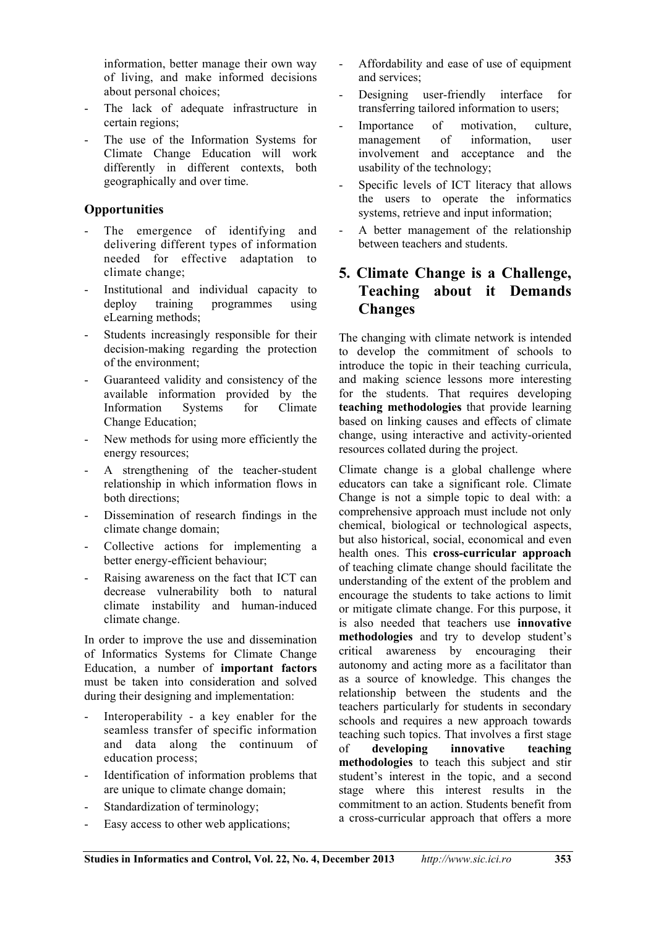information, better manage their own way of living, and make informed decisions about personal choices;

- The lack of adequate infrastructure in certain regions;
- The use of the Information Systems for Climate Change Education will work differently in different contexts, both geographically and over time.

#### **Opportunities**

- The emergence of identifying and delivering different types of information needed for effective adaptation to climate change;
- Institutional and individual capacity to deploy training programmes using eLearning methods;
- Students increasingly responsible for their decision-making regarding the protection of the environment;
- Guaranteed validity and consistency of the available information provided by the Information Systems for Climate Change Education;
- New methods for using more efficiently the energy resources;
- A strengthening of the teacher-student relationship in which information flows in both directions;
- Dissemination of research findings in the climate change domain;
- Collective actions for implementing a better energy-efficient behaviour;
- Raising awareness on the fact that ICT can decrease vulnerability both to natural climate instability and human-induced climate change.

In order to improve the use and dissemination of Informatics Systems for Climate Change Education, a number of **important factors** must be taken into consideration and solved during their designing and implementation:

- Interoperability a key enabler for the seamless transfer of specific information and data along the continuum of education process;
- Identification of information problems that are unique to climate change domain;
- Standardization of terminology;
- Easy access to other web applications;
- Affordability and ease of use of equipment and services;
- Designing user-friendly interface for transferring tailored information to users;
- Importance of motivation, culture, management of information, user involvement and acceptance and the usability of the technology;
- Specific levels of ICT literacy that allows the users to operate the informatics systems, retrieve and input information;
- A better management of the relationship between teachers and students.

## **5. Climate Change is a Challenge, Teaching about it Demands Changes**

The changing with climate network is intended to develop the commitment of schools to introduce the topic in their teaching curricula, and making science lessons more interesting for the students. That requires developing **teaching methodologies** that provide learning based on linking causes and effects of climate change, using interactive and activity-oriented resources collated during the project.

Climate change is a global challenge where educators can take a significant role. Climate Change is not a simple topic to deal with: a comprehensive approach must include not only chemical, biological or technological aspects, but also historical, social, economical and even health ones. This **cross-curricular approach** of teaching climate change should facilitate the understanding of the extent of the problem and encourage the students to take actions to limit or mitigate climate change. For this purpose, it is also needed that teachers use **innovative methodologies** and try to develop student's critical awareness by encouraging their autonomy and acting more as a facilitator than as a source of knowledge. This changes the relationship between the students and the teachers particularly for students in secondary schools and requires a new approach towards teaching such topics. That involves a first stage of **developing innovative teaching methodologies** to teach this subject and stir student's interest in the topic, and a second stage where this interest results in the commitment to an action. Students benefit from a cross-curricular approach that offers a more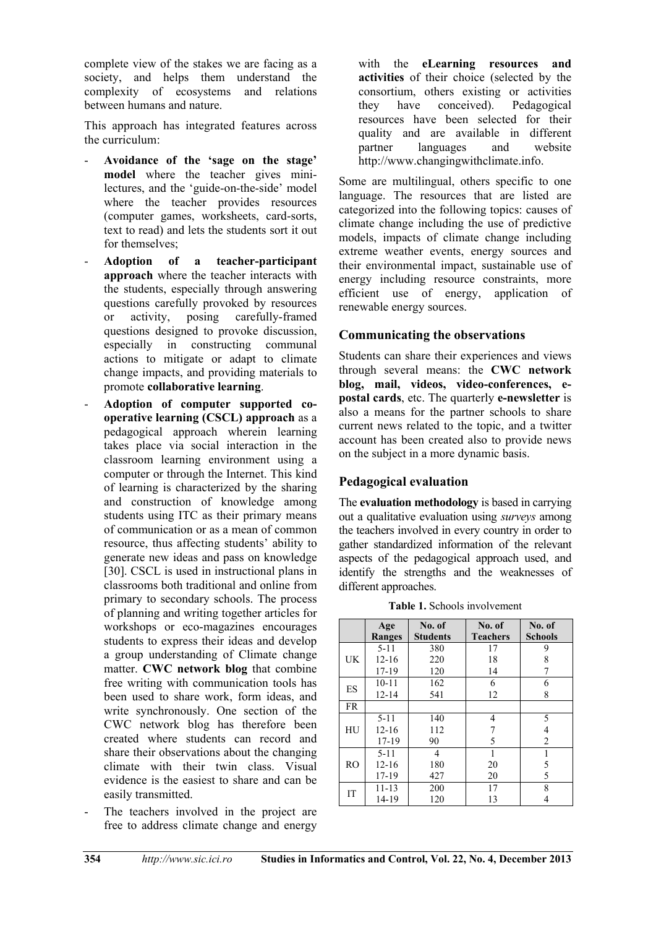complete view of the stakes we are facing as a society, and helps them understand the complexity of ecosystems and relations between humans and nature.

This approach has integrated features across the curriculum:

- **Avoidance of the 'sage on the stage' model** where the teacher gives minilectures, and the 'guide-on-the-side' model where the teacher provides resources (computer games, worksheets, card-sorts, text to read) and lets the students sort it out for themselves;
- **Adoption of a teacher-participant approach** where the teacher interacts with the students, especially through answering questions carefully provoked by resources or activity, posing carefully-framed questions designed to provoke discussion, especially in constructing communal actions to mitigate or adapt to climate change impacts, and providing materials to promote **collaborative learning**.
- **Adoption of computer supported cooperative learning (CSCL) approach** as a pedagogical approach wherein learning takes place via social interaction in the classroom learning environment using a computer or through the Internet. This kind of learning is characterized by the sharing and construction of knowledge among students using ITC as their primary means of communication or as a mean of common resource, thus affecting students' ability to generate new ideas and pass on knowledge [30]. CSCL is used in instructional plans in classrooms both traditional and online from primary to secondary schools. The process of planning and writing together articles for workshops or eco-magazines encourages students to express their ideas and develop a group understanding of Climate change matter. **CWC network blog** that combine free writing with communication tools has been used to share work, form ideas, and write synchronously. One section of the CWC network blog has therefore been created where students can record and share their observations about the changing climate with their twin class. Visual evidence is the easiest to share and can be easily transmitted.
- The teachers involved in the project are free to address climate change and energy

with the **eLearning resources and activities** of their choice (selected by the consortium, others existing or activities they have conceived). Pedagogical resources have been selected for their quality and are available in different partner languages and website http://www.changingwithclimate.info.

Some are multilingual, others specific to one language. The resources that are listed are categorized into the following topics: causes of climate change including the use of predictive models, impacts of climate change including extreme weather events, energy sources and their environmental impact, sustainable use of energy including resource constraints, more efficient use of energy, application of renewable energy sources.

#### **Communicating the observations**

Students can share their experiences and views through several means: the **CWC network blog, mail, videos, video-conferences, epostal cards**, etc. The quarterly **e-newsletter** is also a means for the partner schools to share current news related to the topic, and a twitter account has been created also to provide news on the subject in a more dynamic basis.

#### **Pedagogical evaluation**

The **evaluation methodology** is based in carrying out a qualitative evaluation using *surveys* among the teachers involved in every country in order to gather standardized information of the relevant aspects of the pedagogical approach used, and identify the strengths and the weaknesses of different approaches.

|                | Age           | No. of          | No. of          | No. of         |
|----------------|---------------|-----------------|-----------------|----------------|
|                | <b>Ranges</b> | <b>Students</b> | <b>Teachers</b> | <b>Schools</b> |
| UK             | $5 - 11$      | 380             | 17              | 9              |
|                | $12 - 16$     | 220             | 18              | 8              |
|                | 17-19         | 120             | 14              |                |
| ES             | $10 - 11$     | 162             | 6               | 6              |
|                | $12 - 14$     | 541             | 12              | 8              |
| <b>FR</b>      |               |                 |                 |                |
| HU             | $5 - 11$      | 140             | 4               | 5              |
|                | $12 - 16$     | 112             |                 | 4              |
|                | 17-19         | 90              | 5               | $\overline{c}$ |
| R <sub>O</sub> | $5 - 11$      | 4               |                 | 1              |
|                | $12 - 16$     | 180             | 20              | 5              |
|                | 17-19         | 427             | 20              | 5              |
| IT             | $11 - 13$     | 200             | 17              | 8              |
|                | 14-19         | 120             | 13              |                |

**Table 1.** Schools involvement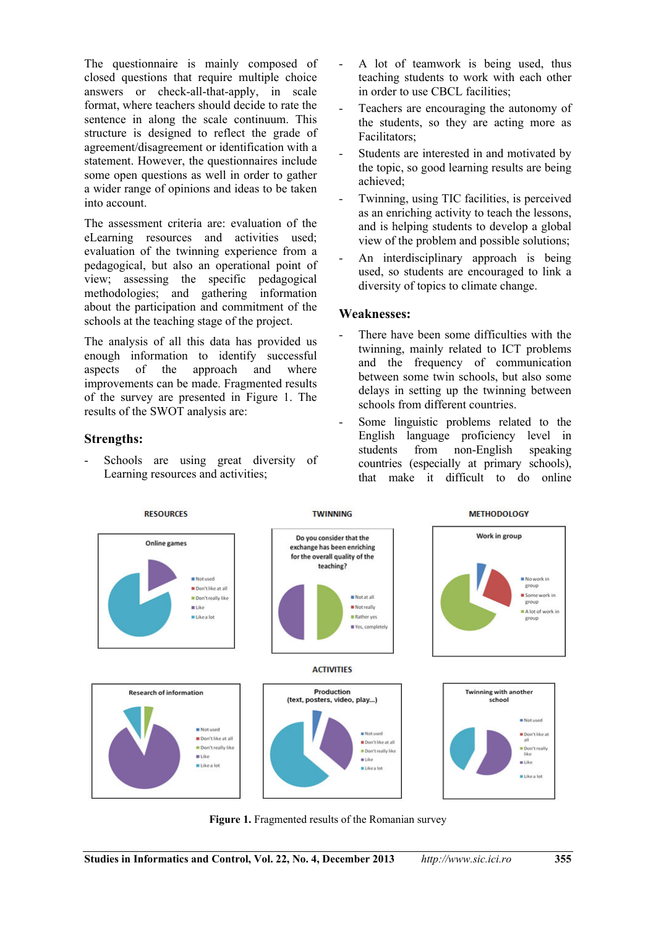The questionnaire is mainly composed of closed questions that require multiple choice answers or check-all-that-apply, in scale format, where teachers should decide to rate the sentence in along the scale continuum. This structure is designed to reflect the grade of agreement/disagreement or identification with a statement. However, the questionnaires include some open questions as well in order to gather a wider range of opinions and ideas to be taken into account.

The assessment criteria are: evaluation of the eLearning resources and activities used; evaluation of the twinning experience from a pedagogical, but also an operational point of view; assessing the specific pedagogical methodologies; and gathering information about the participation and commitment of the schools at the teaching stage of the project.

The analysis of all this data has provided us enough information to identify successful aspects of the approach and where improvements can be made. Fragmented results of the survey are presented in Figure 1. The results of the SWOT analysis are:

#### **Strengths:**

Schools are using great diversity of Learning resources and activities;

- A lot of teamwork is being used, thus teaching students to work with each other in order to use CBCL facilities;
- Teachers are encouraging the autonomy of the students, so they are acting more as Facilitators;
- Students are interested in and motivated by the topic, so good learning results are being achieved;
- Twinning, using TIC facilities, is perceived as an enriching activity to teach the lessons, and is helping students to develop a global view of the problem and possible solutions;
- An interdisciplinary approach is being used, so students are encouraged to link a diversity of topics to climate change.

#### **Weaknesses:**

- There have been some difficulties with the twinning, mainly related to ICT problems and the frequency of communication between some twin schools, but also some delays in setting up the twinning between schools from different countries.
- Some linguistic problems related to the English language proficiency level in students from non-English speaking countries (especially at primary schools), that make it difficult to do online



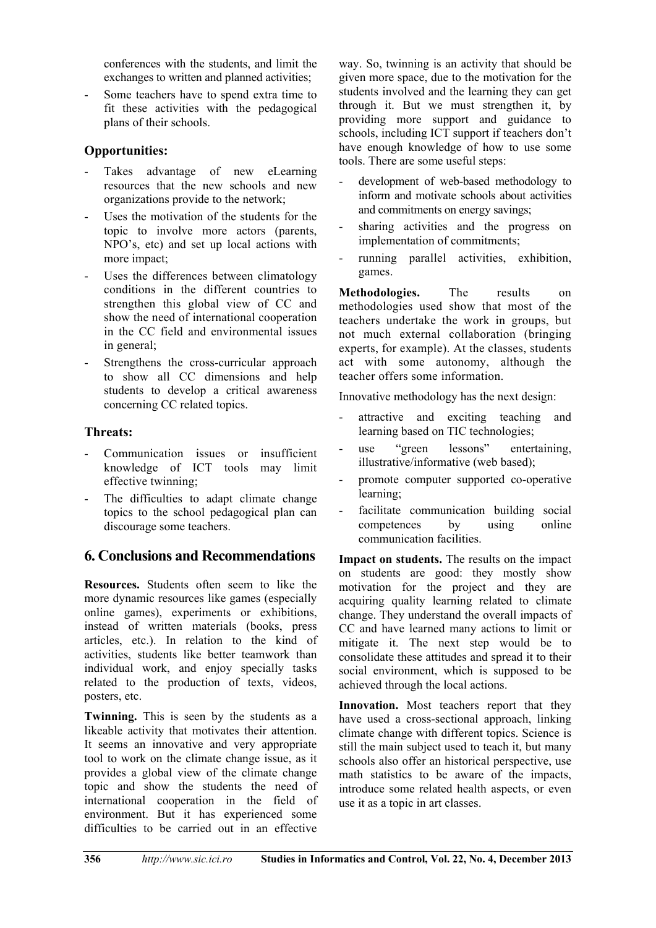conferences with the students, and limit the exchanges to written and planned activities;

- Some teachers have to spend extra time to fit these activities with the pedagogical plans of their schools.

### **Opportunities:**

- Takes advantage of new eLearning resources that the new schools and new organizations provide to the network;
- Uses the motivation of the students for the topic to involve more actors (parents, NPO's, etc) and set up local actions with more impact;
- Uses the differences between climatology conditions in the different countries to strengthen this global view of CC and show the need of international cooperation in the CC field and environmental issues in general;
- Strengthens the cross-curricular approach to show all CC dimensions and help students to develop a critical awareness concerning CC related topics.

#### **Threats:**

- Communication issues or insufficient knowledge of ICT tools may limit effective twinning;
- The difficulties to adapt climate change topics to the school pedagogical plan can discourage some teachers.

# **6. Conclusions and Recommendations**

**Resources.** Students often seem to like the more dynamic resources like games (especially online games), experiments or exhibitions, instead of written materials (books, press articles, etc.). In relation to the kind of activities, students like better teamwork than individual work, and enjoy specially tasks related to the production of texts, videos, posters, etc.

**Twinning.** This is seen by the students as a likeable activity that motivates their attention. It seems an innovative and very appropriate tool to work on the climate change issue, as it provides a global view of the climate change topic and show the students the need of international cooperation in the field of environment. But it has experienced some difficulties to be carried out in an effective

way. So, twinning is an activity that should be given more space, due to the motivation for the students involved and the learning they can get through it. But we must strengthen it, by providing more support and guidance to schools, including ICT support if teachers don't have enough knowledge of how to use some tools. There are some useful steps:

- development of web-based methodology to inform and motivate schools about activities and commitments on energy savings;
- sharing activities and the progress on implementation of commitments;
- running parallel activities, exhibition, games.

**Methodologies.** The results on methodologies used show that most of the teachers undertake the work in groups, but not much external collaboration (bringing experts, for example). At the classes, students act with some autonomy, although the teacher offers some information.

Innovative methodology has the next design:

- attractive and exciting teaching and learning based on TIC technologies;
- use "green lessons" entertaining. illustrative/informative (web based);
- promote computer supported co-operative learning;
- facilitate communication building social competences by using online communication facilities.

**Impact on students.** The results on the impact on students are good: they mostly show motivation for the project and they are acquiring quality learning related to climate change. They understand the overall impacts of CC and have learned many actions to limit or mitigate it. The next step would be to consolidate these attitudes and spread it to their social environment, which is supposed to be achieved through the local actions.

**Innovation.** Most teachers report that they have used a cross-sectional approach, linking climate change with different topics. Science is still the main subject used to teach it, but many schools also offer an historical perspective, use math statistics to be aware of the impacts, introduce some related health aspects, or even use it as a topic in art classes.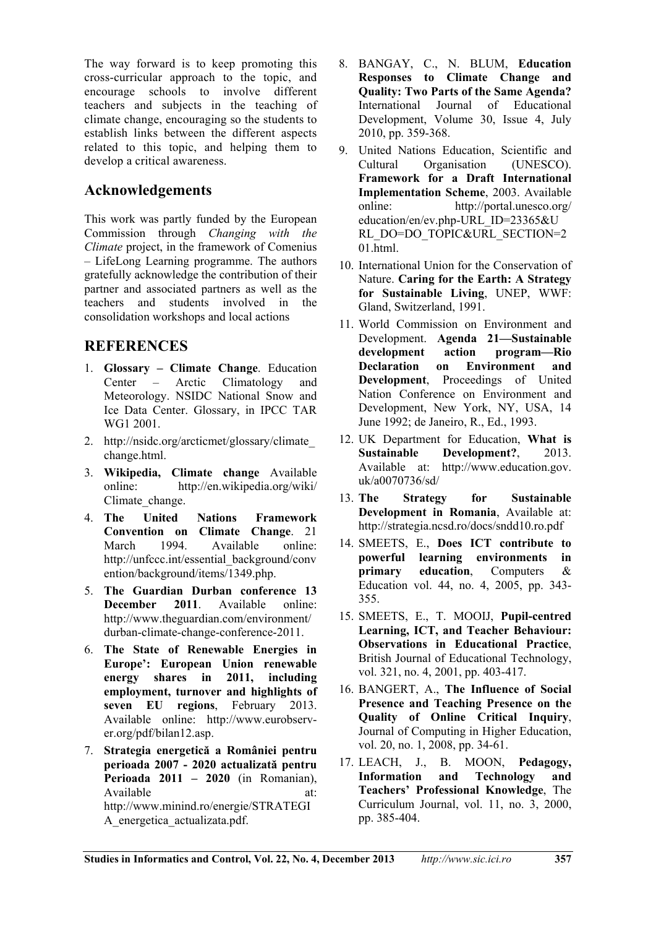The way forward is to keep promoting this cross-curricular approach to the topic, and encourage schools to involve different teachers and subjects in the teaching of climate change, encouraging so the students to establish links between the different aspects related to this topic, and helping them to develop a critical awareness.

# **Acknowledgements**

This work was partly funded by the European Commission through *Changing with the Climate* project, in the framework of Comenius – LifeLong Learning programme. The authors gratefully acknowledge the contribution of their partner and associated partners as well as the teachers and students involved in the consolidation workshops and local actions

# **REFERENCES**

- 1. **Glossary Climate Change**. Education Center – Arctic Climatology and Meteorology. NSIDC National Snow and Ice Data Center. Glossary, in IPCC TAR WG1 2001.
- 2. http://nsidc.org/arcticmet/glossary/climate\_ change.html.
- 3. **Wikipedia, Climate change** Available online: http://en.wikipedia.org/wiki/ Climate change.
- 4. **The United Nations Framework Convention on Climate Change**. 21 March 1994. Available online: http://unfccc.int/essential\_background/conv ention/background/items/1349.php.
- 5. **The Guardian Durban conference 13 December 2011**. Available online: http://www.theguardian.com/environment/ durban-climate-change-conference-2011.
- 6. **The State of Renewable Energies in Europe': European Union renewable energy shares in 2011, including employment, turnover and highlights of seven EU regions**, February 2013. Available online: http://www.eurobserver.org/pdf/bilan12.asp.
- 7. **Strategia energetică a României pentru perioada 2007 - 2020 actualizată pentru Perioada 2011 – 2020** (in Romanian), Available at: at: http://www.minind.ro/energie/STRATEGI A\_energetica\_actualizata.pdf.
- 8. BANGAY, C., N. BLUM, **Education Responses to Climate Change and Quality: Two Parts of the Same Agenda?** International Journal of Educational Development, Volume 30, Issue 4, July 2010, pp. 359-368.
- 9. United Nations Education, Scientific and Cultural Organisation (UNESCO). **Framework for a Draft International Implementation Scheme**, 2003. Available online: http://portal.unesco.org/ education/en/ev.php-URL\_ID=23365&U RL\_DO=DO\_TOPIC&URL\_SECTION=2 01.html.
- 10. International Union for the Conservation of Nature. **Caring for the Earth: A Strategy for Sustainable Living**, UNEP, WWF: Gland, Switzerland, 1991.
- 11. World Commission on Environment and Development. **Agenda 21—Sustainable development action program—Rio Declaration on Environment and Development**, Proceedings of United Nation Conference on Environment and Development, New York, NY, USA, 14 June 1992; de Janeiro, R., Ed., 1993.
- 12. UK Department for Education, **What is Sustainable Development?**, 2013. Available at: http://www.education.gov. uk/a0070736/sd/
- 13. **The Strategy for Sustainable Development in Romania**, Available at: http://strategia.ncsd.ro/docs/sndd10.ro.pdf
- 14. SMEETS, E., **Does ICT contribute to powerful learning environments in primary education**, Computers & Education vol. 44, no. 4, 2005, pp. 343- 355.
- 15. SMEETS, E., T. MOOIJ, **Pupil-centred Learning, ICT, and Teacher Behaviour: Observations in Educational Practice**, British Journal of Educational Technology, vol. 321, no. 4, 2001, pp. 403-417.
- 16. BANGERT, A., **The Influence of Social Presence and Teaching Presence on the Quality of Online Critical Inquiry**, Journal of Computing in Higher Education, vol. 20, no. 1, 2008, pp. 34-61.
- 17. LEACH, J., B. MOON, **Pedagogy, Information and Technology and Teachers' Professional Knowledge**, The Curriculum Journal, vol. 11, no. 3, 2000, pp. 385-404.